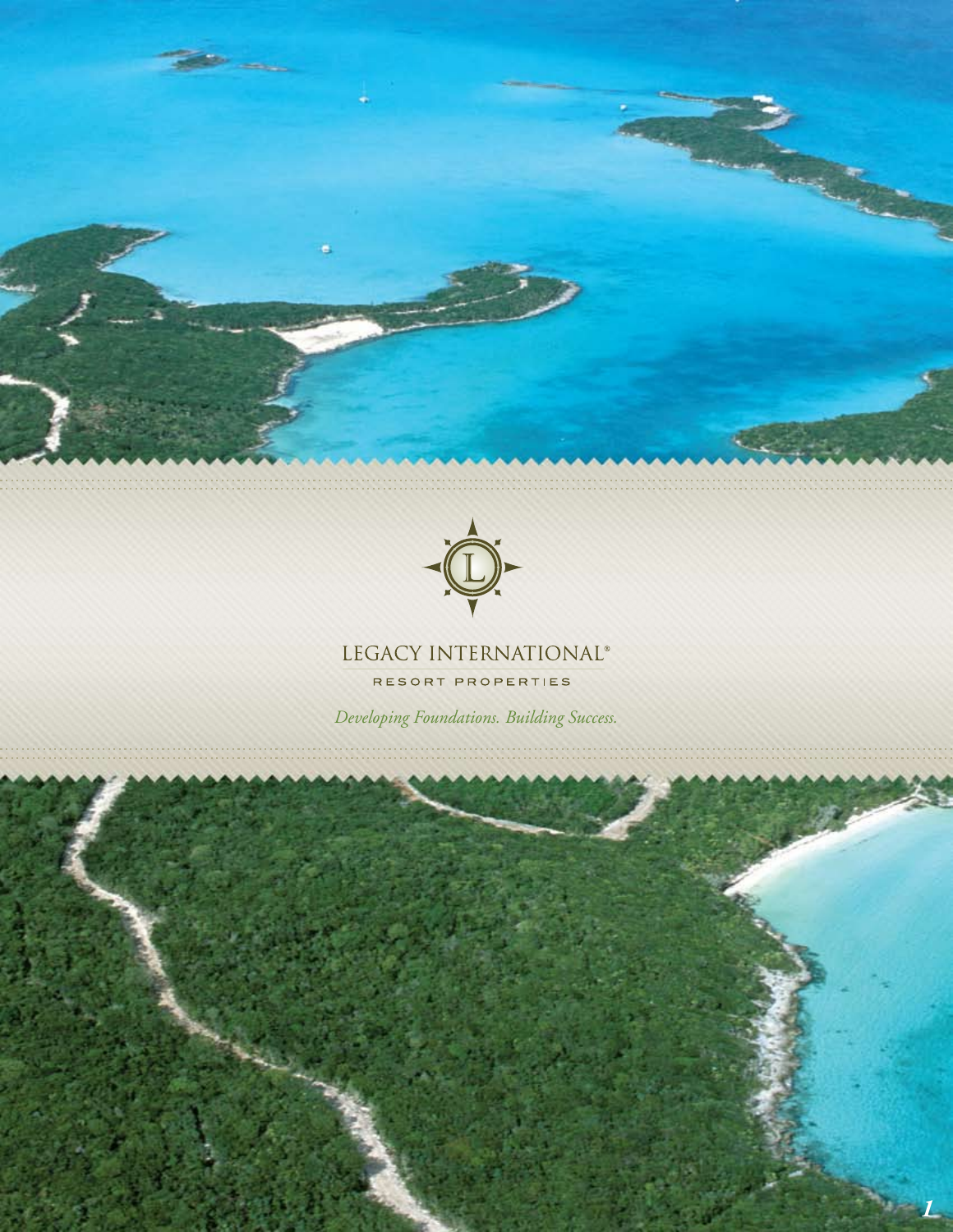



## LEGACY INTERNATIONAL®

RESORT PROPERTIES

*Developing Foundations. Building Success.*

*1*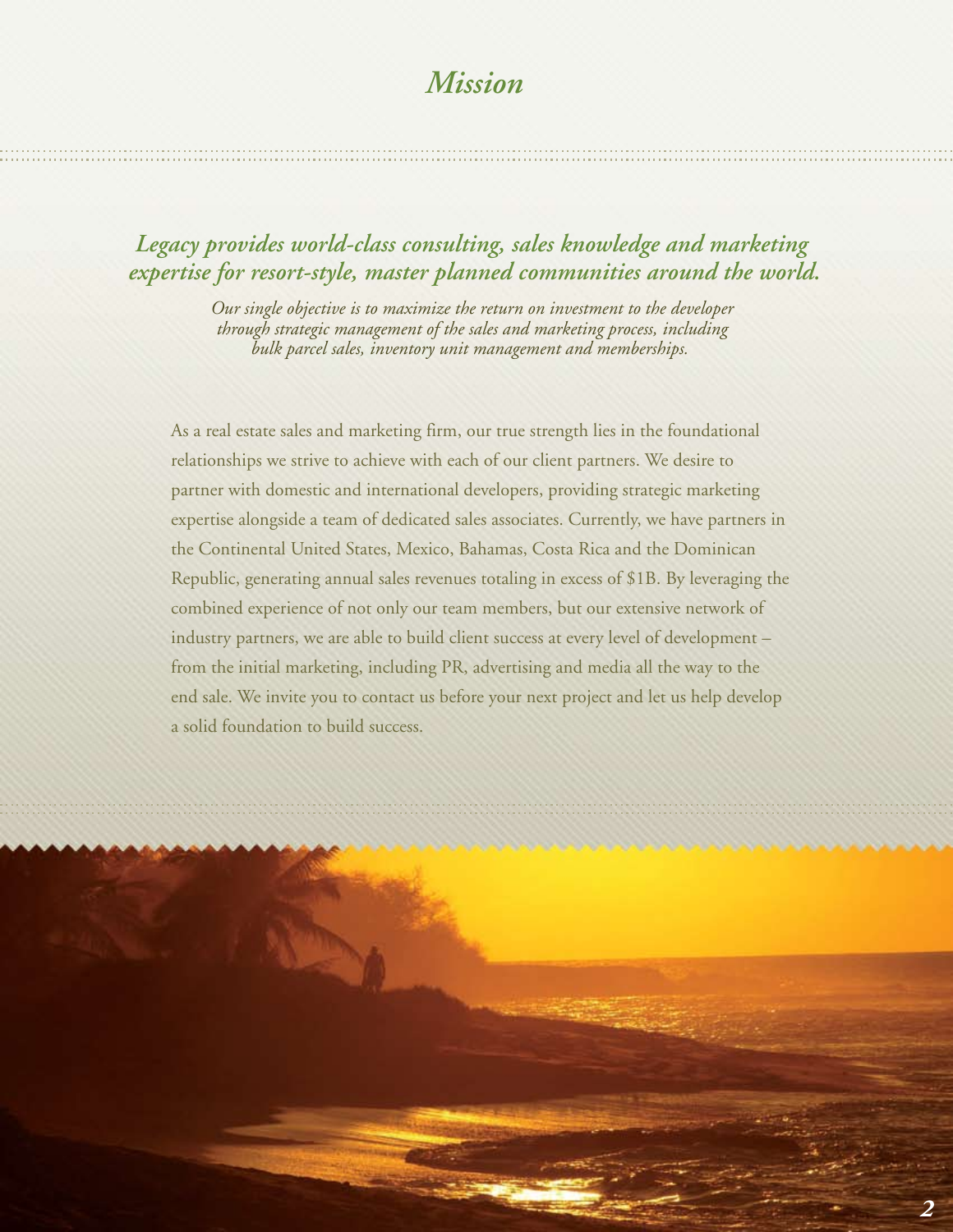# *Mission*

## *Legacy provides world-class consulting, sales knowledge and marketing expertise for resort-style, master planned communities around the world.*

*Our single objective is to maximize the return on investment to the developer through strategic management of the sales and marketing process, including bulk parcel sales, inventory unit management and memberships.* 

As a real estate sales and marketing firm, our true strength lies in the foundational relationships we strive to achieve with each of our client partners. We desire to partner with domestic and international developers, providing strategic marketing expertise alongside a team of dedicated sales associates. Currently, we have partners in the Continental United States, Mexico, Bahamas, Costa Rica and the Dominican Republic, generating annual sales revenues totaling in excess of \$1B. By leveraging the combined experience of not only our team members, but our extensive network of industry partners, we are able to build client success at every level of development – from the initial marketing, including PR, advertising and media all the way to the end sale. We invite you to contact us before your next project and let us help develop a solid foundation to build success.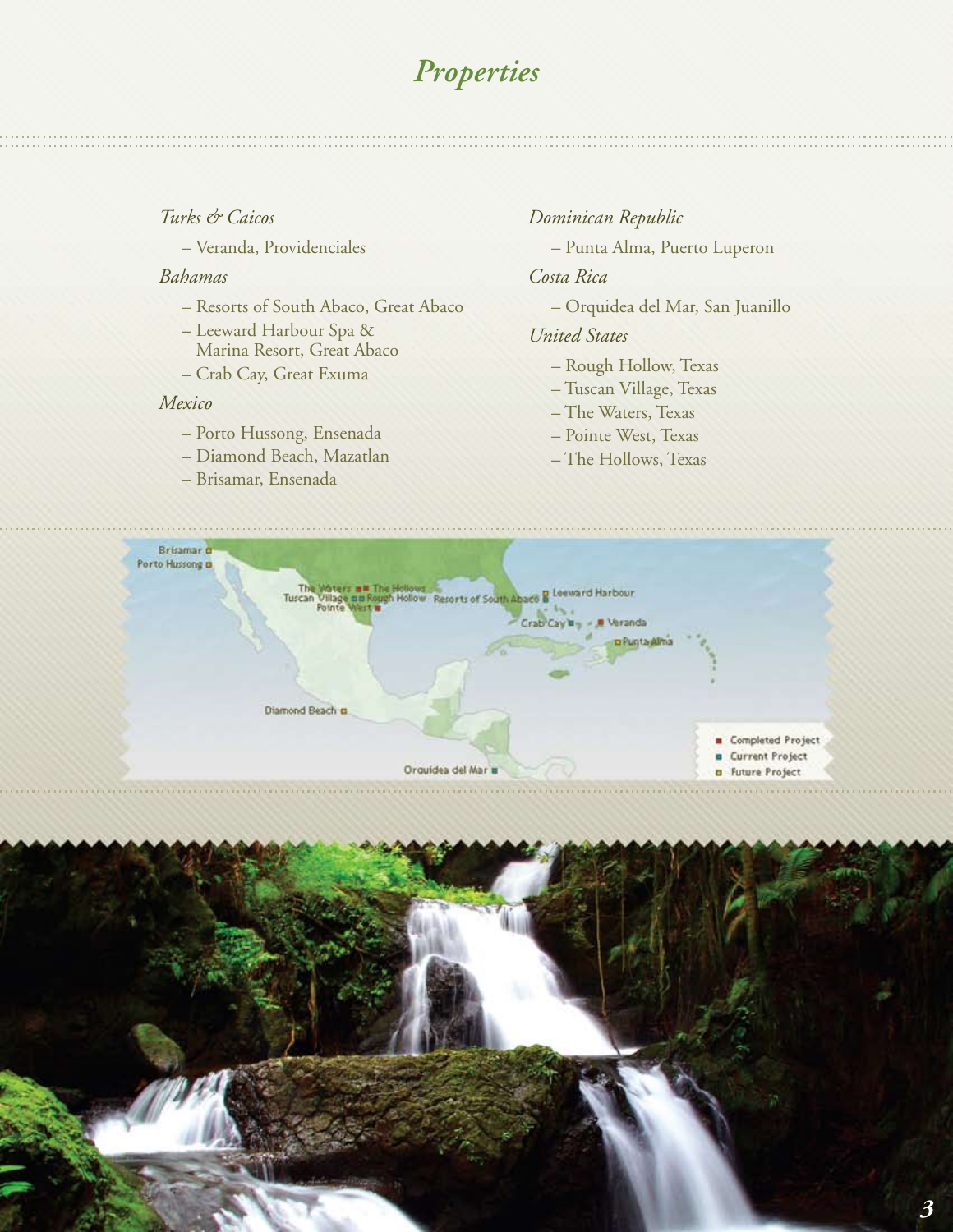## *Properties*

#### *Turks & Caicos*

– Veranda, Providenciales

#### *Bahamas*

- Resorts of South Abaco, Great Abaco
- Leeward Harbour Spa & Marina Resort, Great Abaco
- Crab Cay, Great Exuma

#### *Mexico*

- Porto Hussong, Ensenada
- Diamond Beach, Mazatlan
- Brisamar, Ensenada

*Dominican Republic* – Punta Alma, Puerto Luperon

*Costa Rica*

– Orquidea del Mar, San Juanillo

#### *United States*

- Rough Hollow, Texas
- Tuscan Village, Texas
- The Waters, Texas
- Pointe West, Texas
- The Hollows, Texas



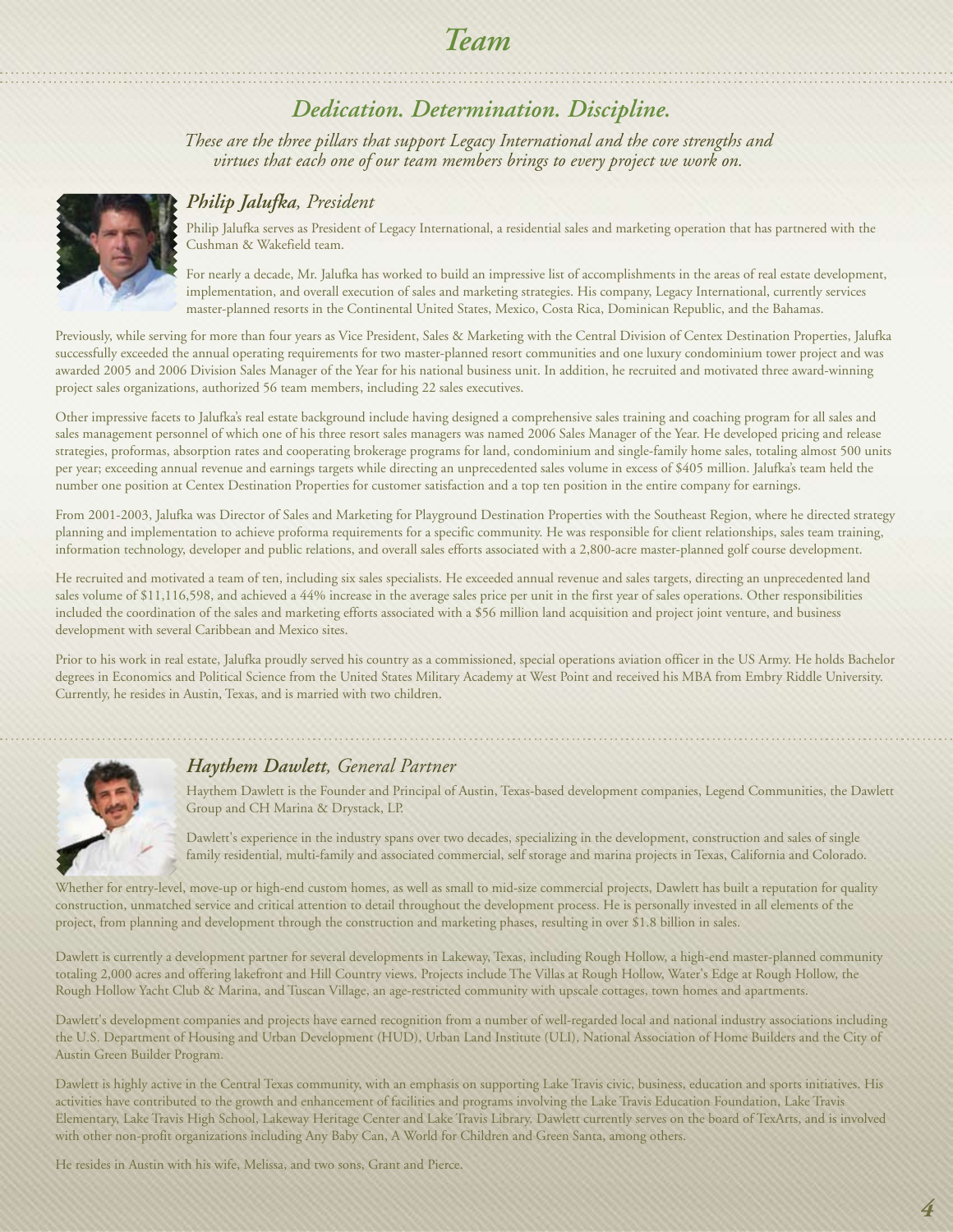# *Team*

## *Dedication. Determination. Discipline.*

*These are the three pillars that support Legacy International and the core strengths and virtues that each one of our team members brings to every project we work on.* 



#### *Philip Jalufka, President*

Philip Jalufka serves as President of Legacy International, a residential sales and marketing operation that has partnered with the Cushman & Wakefield team.

For nearly a decade, Mr. Jalufka has worked to build an impressive list of accomplishments in the areas of real estate development, implementation, and overall execution of sales and marketing strategies. His company, Legacy International, currently services master-planned resorts in the Continental United States, Mexico, Costa Rica, Dominican Republic, and the Bahamas.

Previously, while serving for more than four years as Vice President, Sales & Marketing with the Central Division of Centex Destination Properties, Jalufka successfully exceeded the annual operating requirements for two master-planned resort communities and one luxury condominium tower project and was awarded 2005 and 2006 Division Sales Manager of the Year for his national business unit. In addition, he recruited and motivated three award-winning project sales organizations, authorized 56 team members, including 22 sales executives.

Other impressive facets to Jalufka's real estate background include having designed a comprehensive sales training and coaching program for all sales and sales management personnel of which one of his three resort sales managers was named 2006 Sales Manager of the Year. He developed pricing and release strategies, proformas, absorption rates and cooperating brokerage programs for land, condominium and single-family home sales, totaling almost 500 units per year; exceeding annual revenue and earnings targets while directing an unprecedented sales volume in excess of \$405 million. Jalufka's team held the number one position at Centex Destination Properties for customer satisfaction and a top ten position in the entire company for earnings.

From 2001-2003, Jalufka was Director of Sales and Marketing for Playground Destination Properties with the Southeast Region, where he directed strategy planning and implementation to achieve proforma requirements for a specific community. He was responsible for client relationships, sales team training, information technology, developer and public relations, and overall sales efforts associated with a 2,800-acre master-planned golf course development.

He recruited and motivated a team of ten, including six sales specialists. He exceeded annual revenue and sales targets, directing an unprecedented land sales volume of \$11,116,598, and achieved a 44% increase in the average sales price per unit in the first year of sales operations. Other responsibilities included the coordination of the sales and marketing efforts associated with a \$56 million land acquisition and project joint venture, and business development with several Caribbean and Mexico sites.

Prior to his work in real estate, Jalufka proudly served his country as a commissioned, special operations aviation officer in the US Army. He holds Bachelor degrees in Economics and Political Science from the United States Military Academy at West Point and received his MBA from Embry Riddle University. Currently, he resides in Austin, Texas, and is married with two children.



#### *Haythem Dawlett, General Partner*

Haythem Dawlett is the Founder and Principal of Austin, Texas-based development companies, Legend Communities, the Dawlett Group and CH Marina & Drystack, LP.

Dawlett's experience in the industry spans over two decades, specializing in the development, construction and sales of single family residential, multi-family and associated commercial, self storage and marina projects in Texas, California and Colorado.

Whether for entry-level, move-up or high-end custom homes, as well as small to mid-size commercial projects, Dawlett has built a reputation for quality construction, unmatched service and critical attention to detail throughout the development process. He is personally invested in all elements of the project, from planning and development through the construction and marketing phases, resulting in over \$1.8 billion in sales.

Dawlett is currently a development partner for several developments in Lakeway, Texas, including Rough Hollow, a high-end master-planned community totaling 2,000 acres and offering lakefront and Hill Country views. Projects include The Villas at Rough Hollow, Water's Edge at Rough Hollow, the Rough Hollow Yacht Club & Marina, and Tuscan Village, an age-restricted community with upscale cottages, town homes and apartments.

Dawlett's development companies and projects have earned recognition from a number of well-regarded local and national industry associations including the U.S. Department of Housing and Urban Development (HUD), Urban Land Institute (ULI), National Association of Home Builders and the City of Austin Green Builder Program.

Dawlett is highly active in the Central Texas community, with an emphasis on supporting Lake Travis civic, business, education and sports initiatives. His activities have contributed to the growth and enhancement of facilities and programs involving the Lake Travis Education Foundation, Lake Travis Elementary, Lake Travis High School, Lakeway Heritage Center and Lake Travis Library. Dawlett currently serves on the board of TexArts, and is involved with other non-profit organizations including Any Baby Can, A World for Children and Green Santa, among others.

He resides in Austin with his wife, Melissa, and two sons, Grant and Pierce.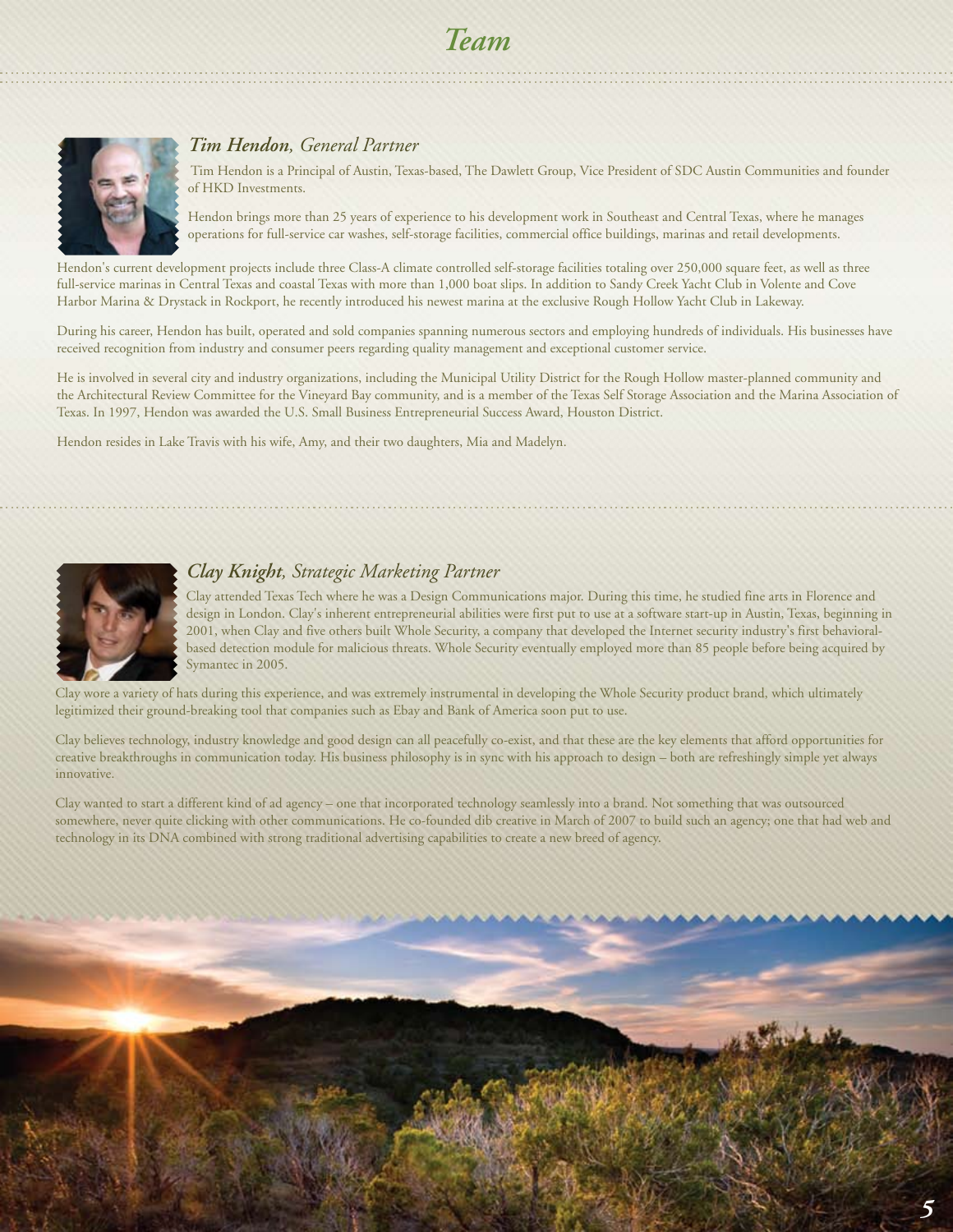# *Team*



#### *Tim Hendon, General Partner*

 Tim Hendon is a Principal of Austin, Texas-based, The Dawlett Group, Vice President of SDC Austin Communities and founder of HKD Investments.

Hendon brings more than 25 years of experience to his development work in Southeast and Central Texas, where he manages operations for full-service car washes, self-storage facilities, commercial office buildings, marinas and retail developments.

Hendon's current development projects include three Class-A climate controlled self-storage facilities totaling over 250,000 square feet, as well as three full-service marinas in Central Texas and coastal Texas with more than 1,000 boat slips. In addition to Sandy Creek Yacht Club in Volente and Cove Harbor Marina & Drystack in Rockport, he recently introduced his newest marina at the exclusive Rough Hollow Yacht Club in Lakeway.

During his career, Hendon has built, operated and sold companies spanning numerous sectors and employing hundreds of individuals. His businesses have received recognition from industry and consumer peers regarding quality management and exceptional customer service.

He is involved in several city and industry organizations, including the Municipal Utility District for the Rough Hollow master-planned community and the Architectural Review Committee for the Vineyard Bay community, and is a member of the Texas Self Storage Association and the Marina Association of Texas. In 1997, Hendon was awarded the U.S. Small Business Entrepreneurial Success Award, Houston District.

Hendon resides in Lake Travis with his wife, Amy, and their two daughters, Mia and Madelyn.



#### *Clay Knight, Strategic Marketing Partner*

Clay attended Texas Tech where he was a Design Communications major. During this time, he studied fine arts in Florence and design in London. Clay's inherent entrepreneurial abilities were first put to use at a software start-up in Austin, Texas, beginning in 2001, when Clay and five others built Whole Security, a company that developed the Internet security industry's first behavioralbased detection module for malicious threats. Whole Security eventually employed more than 85 people before being acquired by Symantec in 2005.

Clay wore a variety of hats during this experience, and was extremely instrumental in developing the Whole Security product brand, which ultimately legitimized their ground-breaking tool that companies such as Ebay and Bank of America soon put to use.

Clay believes technology, industry knowledge and good design can all peacefully co-exist, and that these are the key elements that afford opportunities for creative breakthroughs in communication today. His business philosophy is in sync with his approach to design – both are refreshingly simple yet always innovative.

Clay wanted to start a different kind of ad agency – one that incorporated technology seamlessly into a brand. Not something that was outsourced somewhere, never quite clicking with other communications. He co-founded dib creative in March of 2007 to build such an agency; one that had web and technology in its DNA combined with strong traditional advertising capabilities to create a new breed of agency.

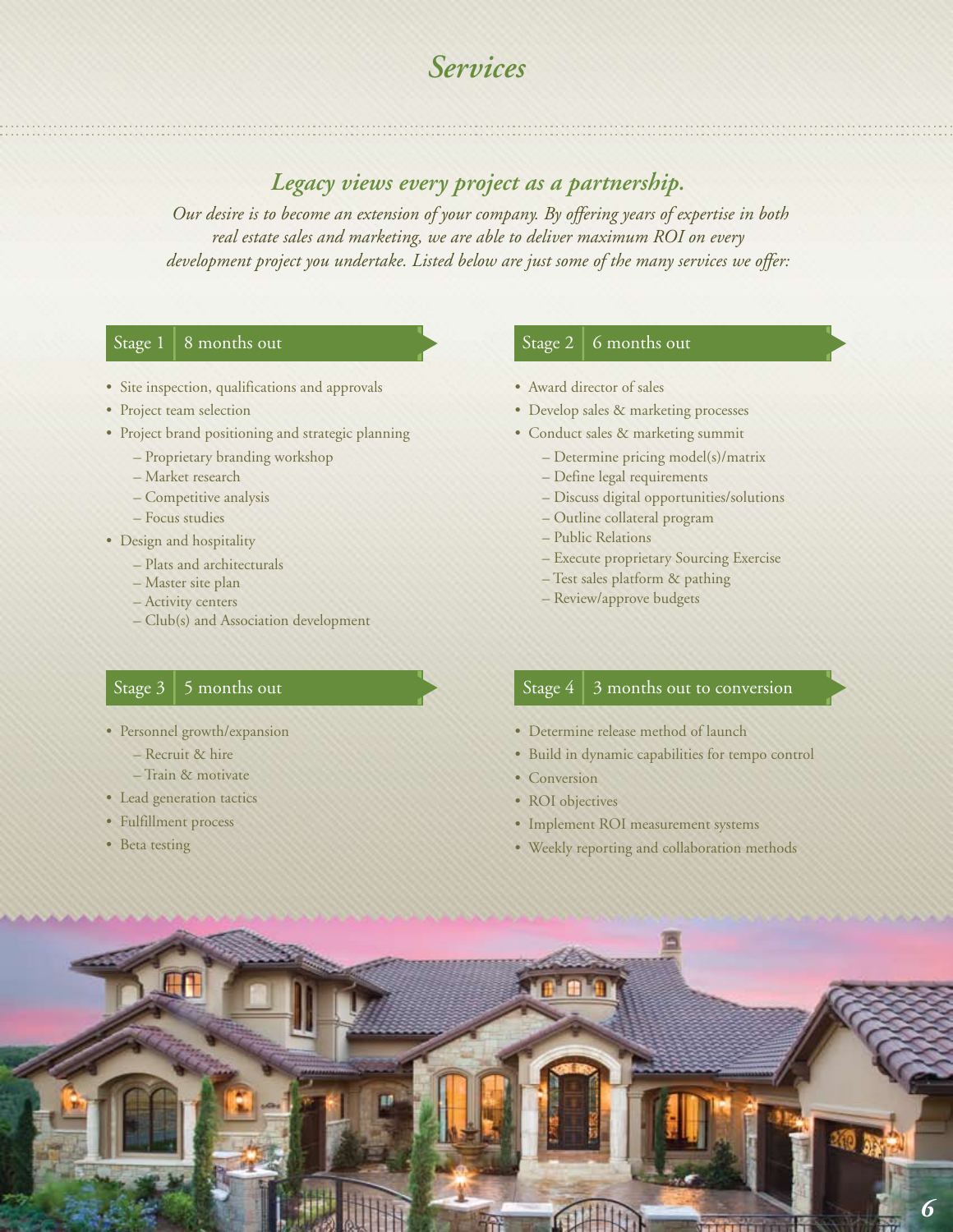# *Services*

### *Legacy views every project as a partnership.*

 *Our desire is to become an extension of your company. By offering years of expertise in both real estate sales and marketing, we are able to deliver maximum ROI on every development project you undertake. Listed below are just some of the many services we offer:* 

#### Stage  $1 \mid 8$  months out

- Site inspection, qualifications and approvals
- Project team selection
- Project brand positioning and strategic planning
	- Proprietary branding workshop
	- Market research
	- Competitive analysis
	- Focus studies
- Design and hospitality
	- Plats and architecturals
	- Master site plan
	- Activity centers
	- Club(s) and Association development

#### Stage  $3 \mid 5$  months out

- Personnel growth/expansion
	- Recruit & hire
	- Train & motivate
- Lead generation tactics
- Fulfillment process
- Beta testing

#### Stage 2  $\vert$  6 months out

- Award director of sales
- Develop sales & marketing processes
- Conduct sales & marketing summit
	- Determine pricing model(s)/matrix
	- Define legal requirements
	- Discuss digital opportunities/solutions
	- Outline collateral program
	- Public Relations
	- Execute proprietary Sourcing Exercise
	- Test sales platform & pathing
	- Review/approve budgets

#### Stage  $4 \mid 3$  months out to conversion

- Determine release method of launch
- Build in dynamic capabilities for tempo control
- Conversion
- ROI objectives
- Implement ROI measurement systems
- Weekly reporting and collaboration methods

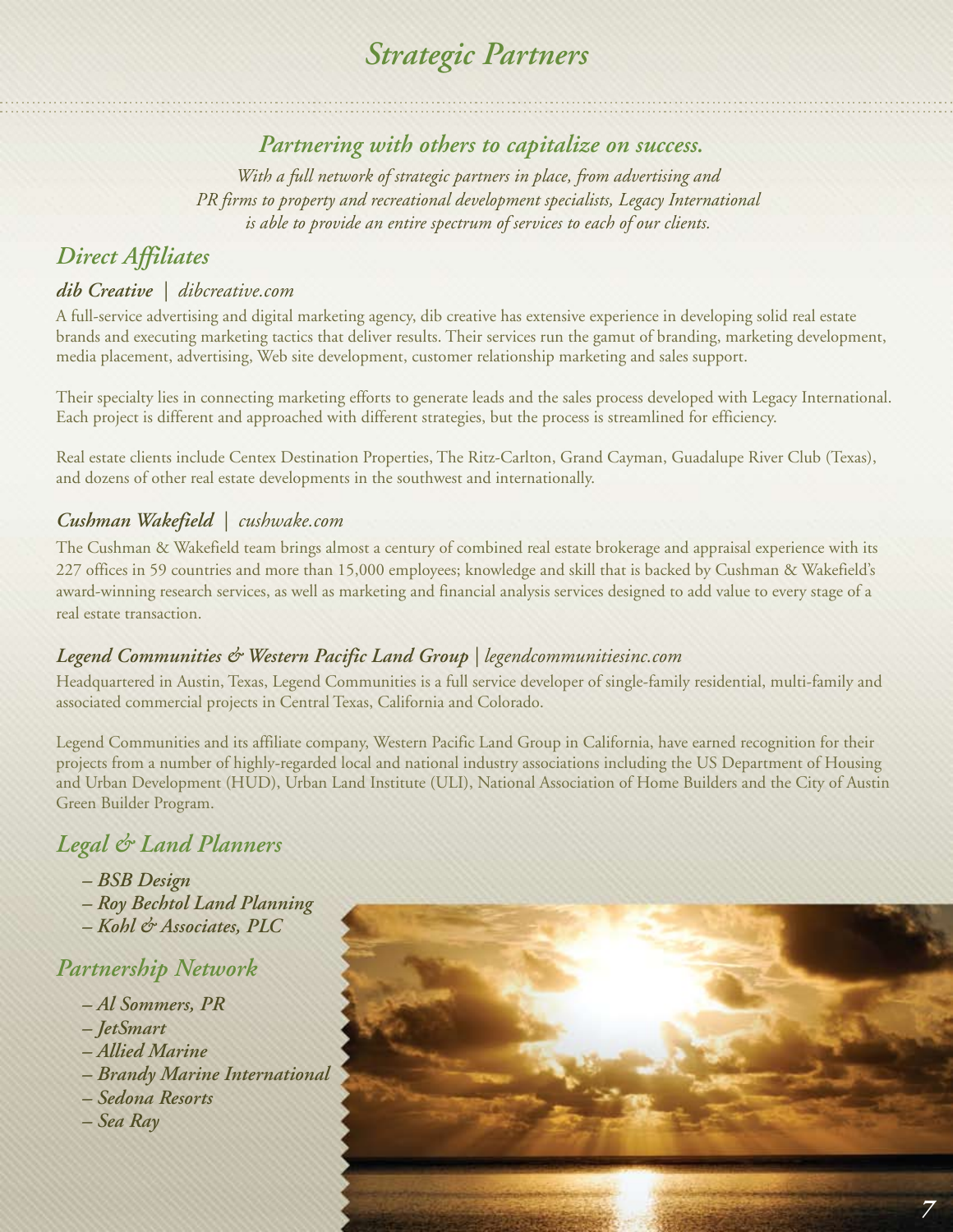# *Strategic Partners*

## *Partnering with others to capitalize on success.*

*With a full network of strategic partners in place, from advertising and PR firms to property and recreational development specialists, Legacy International is able to provide an entire spectrum of services to each of our clients.* 

## *Direct Affiliates*

### *dib Creative | dibcreative.com*

A full-service advertising and digital marketing agency, dib creative has extensive experience in developing solid real estate brands and executing marketing tactics that deliver results. Their services run the gamut of branding, marketing development, media placement, advertising, Web site development, customer relationship marketing and sales support.

Their specialty lies in connecting marketing efforts to generate leads and the sales process developed with Legacy International. Each project is different and approached with different strategies, but the process is streamlined for efficiency.

Real estate clients include Centex Destination Properties, The Ritz-Carlton, Grand Cayman, Guadalupe River Club (Texas), and dozens of other real estate developments in the southwest and internationally.

### *Cushman Wakefield | cushwake.com*

The Cushman & Wakefield team brings almost a century of combined real estate brokerage and appraisal experience with its 227 offices in 59 countries and more than 15,000 employees; knowledge and skill that is backed by Cushman & Wakefield's award-winning research services, as well as marketing and financial analysis services designed to add value to every stage of a real estate transaction.

### *Legend Communities & Western Pacific Land Group | legendcommunitiesinc.com*

Headquartered in Austin, Texas, Legend Communities is a full service developer of single-family residential, multi-family and associated commercial projects in Central Texas, California and Colorado.

Legend Communities and its affiliate company, Western Pacific Land Group in California, have earned recognition for their projects from a number of highly-regarded local and national industry associations including the US Department of Housing and Urban Development (HUD), Urban Land Institute (ULI), National Association of Home Builders and the City of Austin Green Builder Program.

## *Legal & Land Planners*

- *BSB Design*
- *Roy Bechtol Land Planning*
- *Kohl & Associates, PLC*

### *Partnership Network*

- *Al Sommers, PR*
- *JetSmart*
- *Allied Marine*
- *Brandy Marine International*
- *Sedona Resorts*
- *Sea Ray*